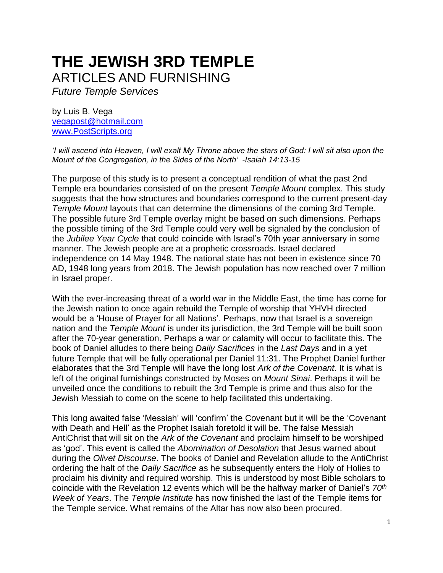## **THE JEWISH 3RD TEMPLE**  ARTICLES AND FURNISHING

*Future Temple Services*

by Luis B. Vega [vegapost@hotmail.com](mailto:vegapost@hotmail.com) [www.PostScripts.org](http://www.postscripts.org/)

*'I will ascend into Heaven, I will exalt My Throne above the stars of God: I will sit also upon the Mount of the Congregation, in the Sides of the North' -Isaiah 14:13-15* 

The purpose of this study is to present a conceptual rendition of what the past 2nd Temple era boundaries consisted of on the present *Temple Mount* complex. This study suggests that the how structures and boundaries correspond to the current present-day *Temple Mount* layouts that can determine the dimensions of the coming 3rd Temple. The possible future 3rd Temple overlay might be based on such dimensions. Perhaps the possible timing of the 3rd Temple could very well be signaled by the conclusion of the *Jubilee Year Cycle* that could coincide with Israel's 70th year anniversary in some manner. The Jewish people are at a prophetic crossroads. Israel declared independence on 14 May 1948. The national state has not been in existence since 70 AD, 1948 long years from 2018. The Jewish population has now reached over 7 million in Israel proper.

With the ever-increasing threat of a world war in the Middle East, the time has come for the Jewish nation to once again rebuild the Temple of worship that YHVH directed would be a 'House of Prayer for all Nations'. Perhaps, now that Israel is a sovereign nation and the *Temple Mount* is under its jurisdiction, the 3rd Temple will be built soon after the 70-year generation. Perhaps a war or calamity will occur to facilitate this. The book of Daniel alludes to there being *Daily Sacrifices* in the *Last Days* and in a yet future Temple that will be fully operational per Daniel 11:31. The Prophet Daniel further elaborates that the 3rd Temple will have the long lost *Ark of the Covenant*. It is what is left of the original furnishings constructed by Moses on *Mount Sinai*. Perhaps it will be unveiled once the conditions to rebuilt the 3rd Temple is prime and thus also for the Jewish Messiah to come on the scene to help facilitated this undertaking.

This long awaited false 'Messiah' will 'confirm' the Covenant but it will be the 'Covenant with Death and Hell' as the Prophet Isaiah foretold it will be. The false Messiah AntiChrist that will sit on the *Ark of the Covenant* and proclaim himself to be worshiped as 'god'. This event is called the *Abomination of Desolation* that Jesus warned about during the *Olivet Discourse*. The books of Daniel and Revelation allude to the AntiChrist ordering the halt of the *Daily Sacrifice* as he subsequently enters the Holy of Holies to proclaim his divinity and required worship. This is understood by most Bible scholars to coincide with the Revelation 12 events which will be the halfway marker of Daniel's *70th Week of Years*. The *Temple Institute* has now finished the last of the Temple items for the Temple service. What remains of the Altar has now also been procured.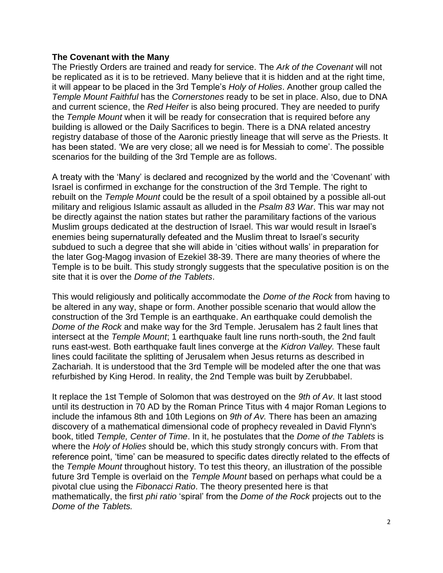## **The Covenant with the Many**

The Priestly Orders are trained and ready for service. The *Ark of the Covenant* will not be replicated as it is to be retrieved. Many believe that it is hidden and at the right time, it will appear to be placed in the 3rd Temple's *Holy of Holies*. Another group called the *Temple Mount Faithful* has the *Cornerstones* ready to be set in place. Also, due to DNA and current science, the *Red Heifer* is also being procured. They are needed to purify the *Temple Mount* when it will be ready for consecration that is required before any building is allowed or the Daily Sacrifices to begin. There is a DNA related ancestry registry database of those of the Aaronic priestly lineage that will serve as the Priests. It has been stated. 'We are very close; all we need is for Messiah to come'. The possible scenarios for the building of the 3rd Temple are as follows.

A treaty with the 'Many' is declared and recognized by the world and the 'Covenant' with Israel is confirmed in exchange for the construction of the 3rd Temple. The right to rebuilt on the *Temple Mount* could be the result of a spoil obtained by a possible all-out military and religious Islamic assault as alluded in the *Psalm 83 War*. This war may not be directly against the nation states but rather the paramilitary factions of the various Muslim groups dedicated at the destruction of Israel. This war would result in Israel's enemies being supernaturally defeated and the Muslim threat to Israel's security subdued to such a degree that she will abide in 'cities without walls' in preparation for the later Gog-Magog invasion of Ezekiel 38-39. There are many theories of where the Temple is to be built. This study strongly suggests that the speculative position is on the site that it is over the *Dome of the Tablets*.

This would religiously and politically accommodate the *Dome of the Rock* from having to be altered in any way, shape or form. Another possible scenario that would allow the construction of the 3rd Temple is an earthquake. An earthquake could demolish the *Dome of the Rock* and make way for the 3rd Temple. Jerusalem has 2 fault lines that intersect at the *Temple Mount*; 1 earthquake fault line runs north-south, the 2nd fault runs east-west. Both earthquake fault lines converge at the *Kidron Valley.* These fault lines could facilitate the splitting of Jerusalem when Jesus returns as described in Zachariah. It is understood that the 3rd Temple will be modeled after the one that was refurbished by King Herod. In reality, the 2nd Temple was built by Zerubbabel.

It replace the 1st Temple of Solomon that was destroyed on the *9th of Av*. It last stood until its destruction in 70 AD by the Roman Prince Titus with 4 major Roman Legions to include the infamous 8th and 10th Legions on *9th of Av.* There has been an amazing discovery of a mathematical dimensional code of prophecy revealed in David Flynn's book, titled *Temple, Center of Time*. In it, he postulates that the *Dome of the Tablets* is where the *Holy of Holies* should be, which this study strongly concurs with. From that reference point, 'time' can be measured to specific dates directly related to the effects of the *Temple Mount* throughout history. To test this theory, an illustration of the possible future 3rd Temple is overlaid on the *Temple Mount* based on perhaps what could be a pivotal clue using the *Fibonacci Ratio*. The theory presented here is that mathematically, the first *phi ratio* 'spiral' from the *Dome of the Rock* projects out to the *Dome of the Tablets.*